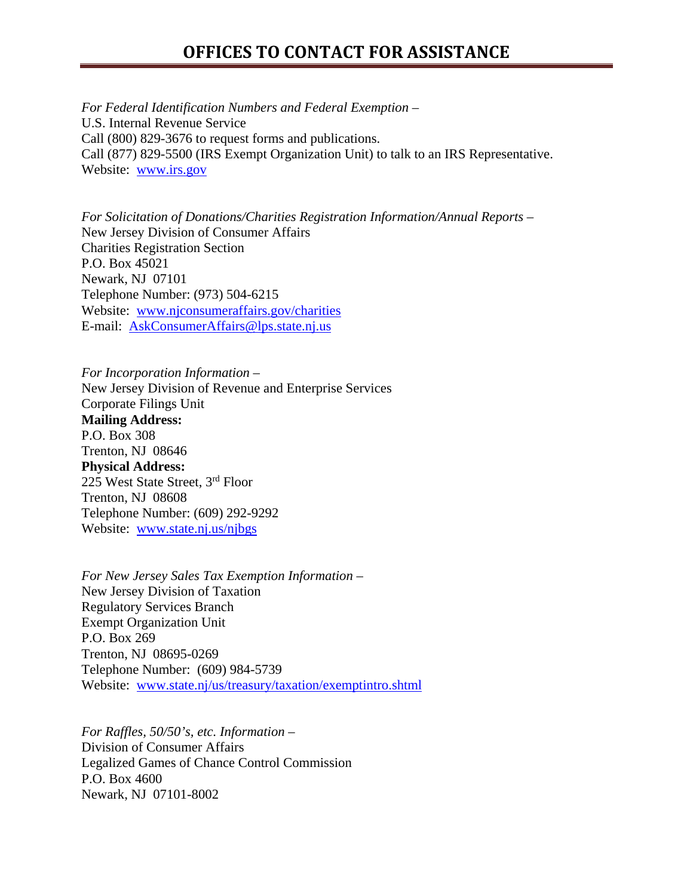## **OFFICES TO CONTACT FOR ASSISTANCE**

*For Federal Identification Numbers and Federal Exemption –*  U.S. Internal Revenue Service Call (800) 829-3676 to request forms and publications. Call (877) 829-5500 (IRS Exempt Organization Unit) to talk to an IRS Representative. Website: www.irs.gov

*For Solicitation of Donations/Charities Registration Information/Annual Reports –*  New Jersey Division of Consumer Affairs Charities Registration Section P.O. Box 45021 Newark, NJ 07101 Telephone Number: (973) 504-6215 Website: www.njconsumeraffairs.gov/charities E-mail: AskConsumerAffairs@lps.state.nj.us

*For Incorporation Information –*  New Jersey Division of Revenue and Enterprise Services Corporate Filings Unit **Mailing Address:** P.O. Box 308 Trenton, NJ 08646 **Physical Address:** 225 West State Street, 3rd Floor Trenton, NJ 08608 Telephone Number: (609) 292-9292 Website: www.state.nj.us/njbgs

*For New Jersey Sales Tax Exemption Information –*  New Jersey Division of Taxation Regulatory Services Branch Exempt Organization Unit P.O. Box 269 Trenton, NJ 08695-0269 Telephone Number: (609) 984-5739 Website: www.state.nj/us/treasury/taxation/exemptintro.shtml

*For Raffles, 50/50's, etc. Information –*  Division of Consumer Affairs Legalized Games of Chance Control Commission P.O. Box 4600 Newark, NJ 07101-8002